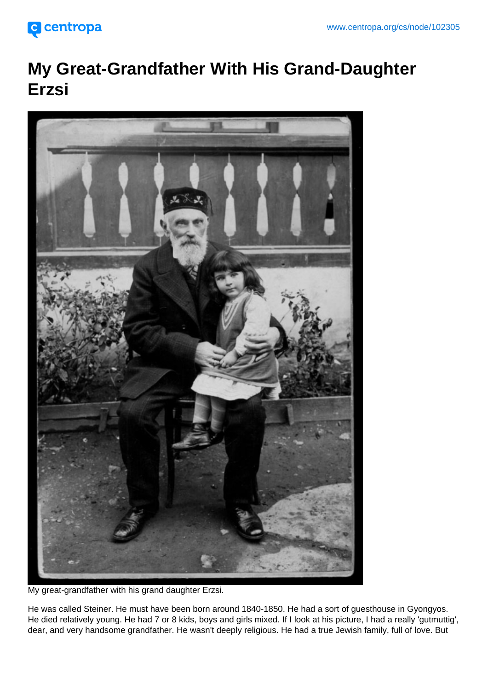## My Great-Grandfather With His Grand-Daughter Erzsi

My great-grandfather with his grand daughter Erzsi.

He was called Steiner. He must have been born around 1840-1850. He had a sort of guesthouse in Gyongyos. He died relatively young. He had 7 or 8 kids, boys and girls mixed. If I look at his picture, I had a really 'gutmuttig', dear, and very handsome grandfather. He wasn't deeply religious. He had a true Jewish family, full of love. But